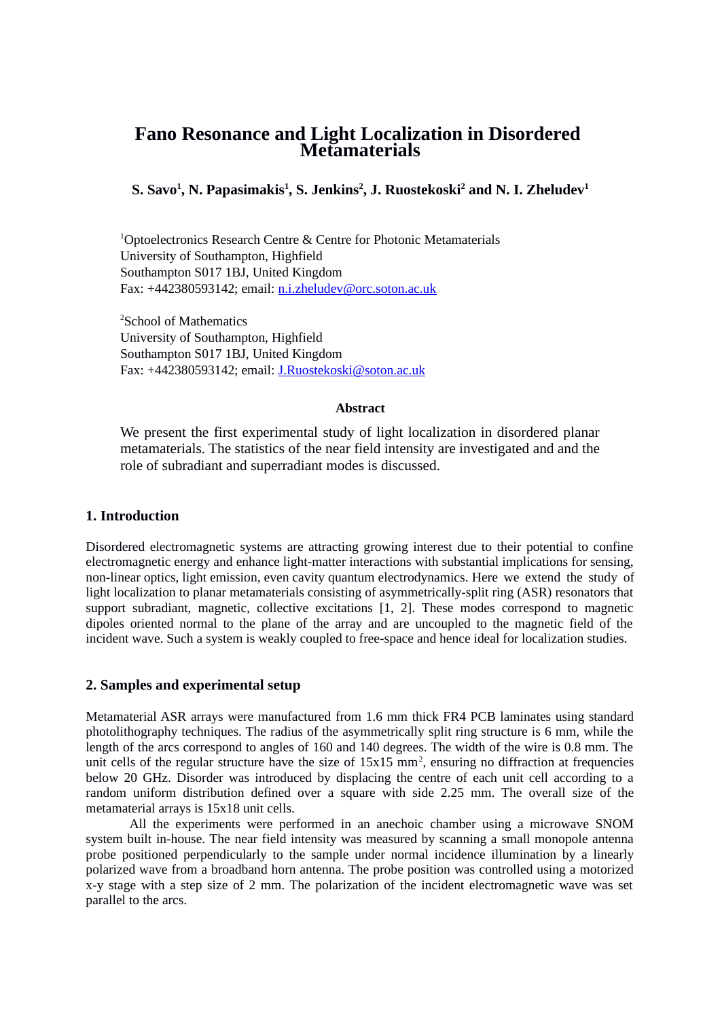# **Fano Resonance and Light Localization in Disordered Metamaterials**

**S. Savo<sup>1</sup> , N. Papasimakis<sup>1</sup> , S. Jenkins<sup>2</sup> , J. Ruostekoski<sup>2</sup> and N. I. Zheludev<sup>1</sup>**

<sup>1</sup>Optoelectronics Research Centre & Centre for Photonic Metamaterials University of Southampton, Highfield Southampton S017 1BJ, United Kingdom Fax: +442380593142; email: [n.i.zheludev@orc.soton.ac.uk](mailto:n.i.zheludev@orc.soton.ac.uk)

<sup>2</sup>School of Mathematics University of Southampton, Highfield Southampton S017 1BJ, United Kingdom Fax: +442380593142; email: J.Ruostekoski@soton.ac.uk

#### **Abstract**

We present the first experimental study of light localization in disordered planar metamaterials. The statistics of the near field intensity are investigated and and the role of subradiant and superradiant modes is discussed.

#### **1. Introduction**

Disordered electromagnetic systems are attracting growing interest due to their potential to confine electromagnetic energy and enhance light-matter interactions with substantial implications for sensing, non-linear optics, light emission, even cavity quantum electrodynamics. Here we extend the study of light localization to planar metamaterials consisting of asymmetrically-split ring (ASR) resonators that support subradiant, magnetic, collective excitations [1, 2]. These modes correspond to magnetic dipoles oriented normal to the plane of the array and are uncoupled to the magnetic field of the incident wave. Such a system is weakly coupled to free-space and hence ideal for localization studies.

#### **2. Samples and experimental setup**

Metamaterial ASR arrays were manufactured from 1.6 mm thick FR4 PCB laminates using standard photolithography techniques. The radius of the asymmetrically split ring structure is 6 mm, while the length of the arcs correspond to angles of 160 and 140 degrees. The width of the wire is 0.8 mm. The unit cells of the regular structure have the size of  $15x15$  mm<sup>2</sup>, ensuring no diffraction at frequencies below 20 GHz. Disorder was introduced by displacing the centre of each unit cell according to a random uniform distribution defined over a square with side 2.25 mm. The overall size of the metamaterial arrays is 15x18 unit cells.

All the experiments were performed in an anechoic chamber using a microwave SNOM system built in-house. The near field intensity was measured by scanning a small monopole antenna probe positioned perpendicularly to the sample under normal incidence illumination by a linearly polarized wave from a broadband horn antenna. The probe position was controlled using a motorized x-y stage with a step size of 2 mm. The polarization of the incident electromagnetic wave was set parallel to the arcs.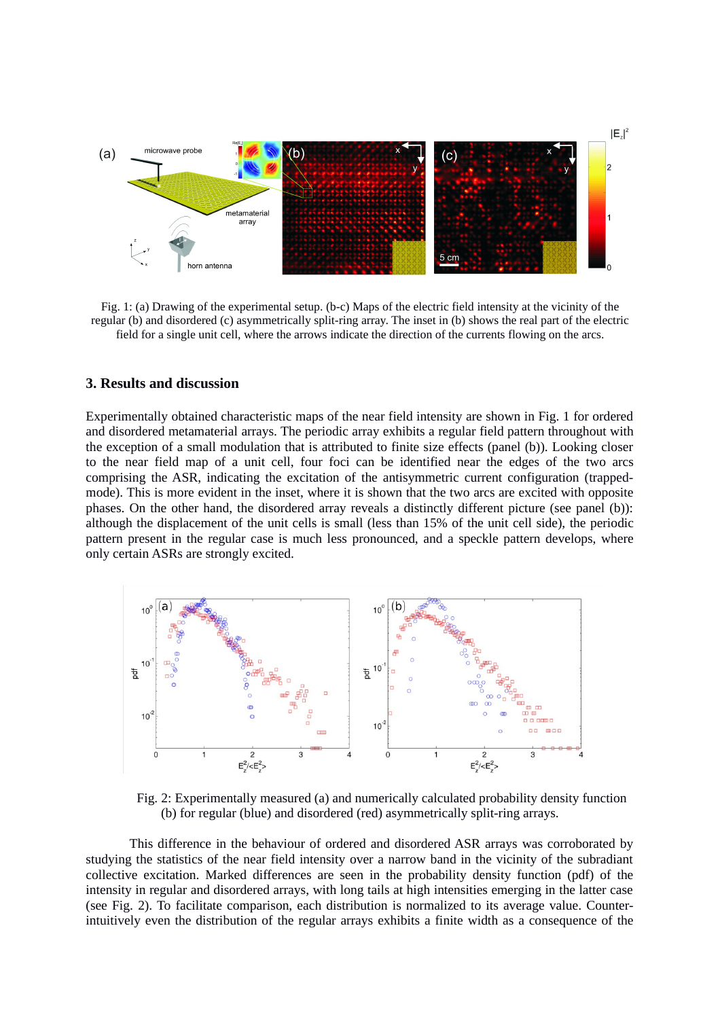

Fig. 1: (a) Drawing of the experimental setup. (b-c) Maps of the electric field intensity at the vicinity of the regular (b) and disordered (c) asymmetrically split-ring array. The inset in (b) shows the real part of the electric field for a single unit cell, where the arrows indicate the direction of the currents flowing on the arcs.

#### **3. Results and discussion**

Experimentally obtained characteristic maps of the near field intensity are shown in Fig. 1 for ordered and disordered metamaterial arrays. The periodic array exhibits a regular field pattern throughout with the exception of a small modulation that is attributed to finite size effects (panel (b)). Looking closer to the near field map of a unit cell, four foci can be identified near the edges of the two arcs comprising the ASR, indicating the excitation of the antisymmetric current configuration (trappedmode). This is more evident in the inset, where it is shown that the two arcs are excited with opposite phases. On the other hand, the disordered array reveals a distinctly different picture (see panel (b)): although the displacement of the unit cells is small (less than 15% of the unit cell side), the periodic pattern present in the regular case is much less pronounced, and a speckle pattern develops, where only certain ASRs are strongly excited.



Fig. 2: Experimentally measured (a) and numerically calculated probability density function (b) for regular (blue) and disordered (red) asymmetrically split-ring arrays.

This difference in the behaviour of ordered and disordered ASR arrays was corroborated by studying the statistics of the near field intensity over a narrow band in the vicinity of the subradiant collective excitation. Marked differences are seen in the probability density function (pdf) of the intensity in regular and disordered arrays, with long tails at high intensities emerging in the latter case (see Fig. 2). To facilitate comparison, each distribution is normalized to its average value. Counterintuitively even the distribution of the regular arrays exhibits a finite width as a consequence of the